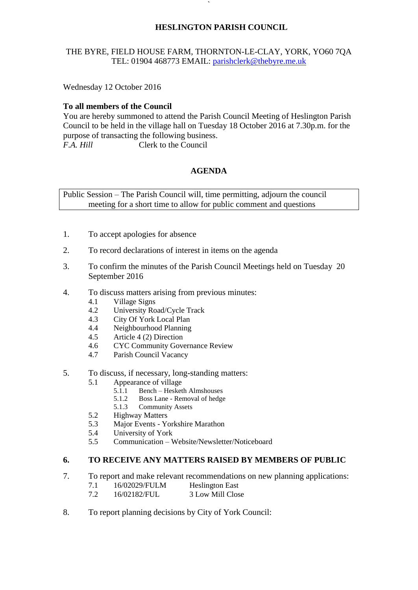# **HESLINGTON PARISH COUNCIL**

# THE BYRE, FIELD HOUSE FARM, THORNTON-LE-CLAY, YORK, YO60 7QA TEL: 01904 468773 EMAIL: [parishclerk@thebyre.me.uk](mailto:parishclerk@thebyre.me.uk)

**`** 

Wednesday 12 October 2016

# **To all members of the Council**

You are hereby summoned to attend the Parish Council Meeting of Heslington Parish Council to be held in the village hall on Tuesday 18 October 2016 at 7.30p.m. for the purpose of transacting the following business. *F.A. Hill* Clerk to the Council

# **AGENDA**

Public Session – The Parish Council will, time permitting, adjourn the council meeting for a short time to allow for public comment and questions

- 1. To accept apologies for absence
- 2. To record declarations of interest in items on the agenda
- 3. To confirm the minutes of the Parish Council Meetings held on Tuesday 20 September 2016
- 4. To discuss matters arising from previous minutes:
	- 4.1 Village Signs
	- 4.2 University Road/Cycle Track
	- 4.3 City Of York Local Plan
	- 4.4 Neighbourhood Planning
	- 4.5 Article 4 (2) Direction
	- 4.6 CYC Community Governance Review
	- 4.7 Parish Council Vacancy
- 5. To discuss, if necessary, long-standing matters:
	- 5.1 Appearance of village
		- 5.1.1 Bench Hesketh Almshouses
		- 5.1.2 Boss Lane Removal of hedge
		- 5.1.3 Community Assets
	- 5.2 Highway Matters
	- 5.3 Major Events Yorkshire Marathon
	- 5.4 University of York
	- 5.5 Communication Website/Newsletter/Noticeboard

### **6. TO RECEIVE ANY MATTERS RAISED BY MEMBERS OF PUBLIC**

- 7. To report and make relevant recommendations on new planning applications:
	- 7.1 16/02029/FULM Heslington East
	- 7.2 16/02182/FUL 3 Low Mill Close
- 8. To report planning decisions by City of York Council: